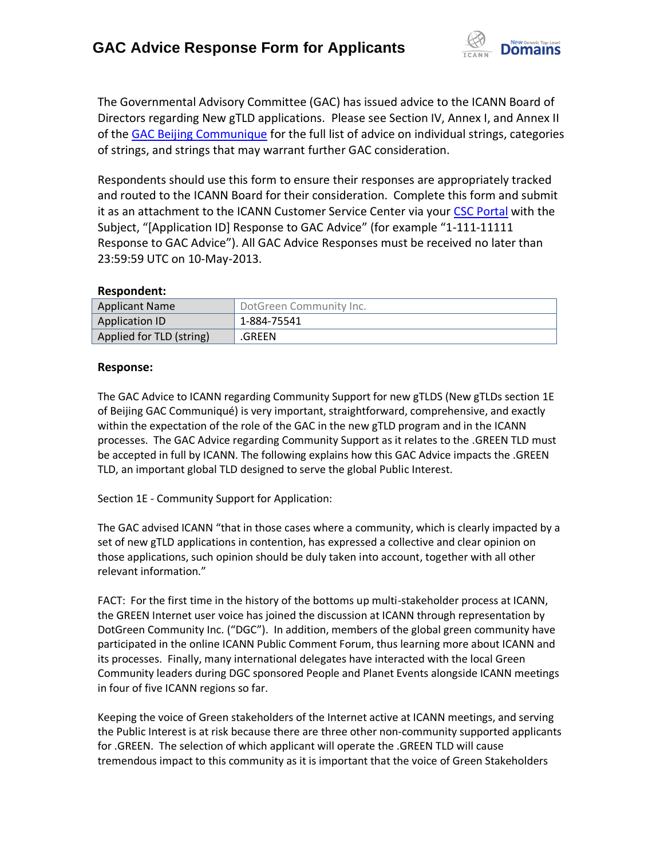

The Governmental Advisory Committee (GAC) has issued advice to the ICANN Board of Directors regarding New gTLD applications. Please see Section IV, Annex I, and Annex II of the [GAC Beijing Communique](http://www.icann.org/en/news/correspondence/gac-to-board-18apr13-en.pdf) for the full list of advice on individual strings, categories of strings, and strings that may warrant further GAC consideration.

Respondents should use this form to ensure their responses are appropriately tracked and routed to the ICANN Board for their consideration. Complete this form and submit it as an attachment to the ICANN Customer Service Center via your CSC [Portal](https://myicann.secure.force.com/) with the Subject, "[Application ID] Response to GAC Advice" (for example "1-111-11111 Response to GAC Advice"). All GAC Advice Responses must be received no later than 23:59:59 UTC on 10-May-2013.

### **Respondent:**

| <b>Applicant Name</b>    | DotGreen Community Inc. |
|--------------------------|-------------------------|
| <b>Application ID</b>    | 1-884-75541             |
| Applied for TLD (string) | .GREEN                  |

### **Response:**

The GAC Advice to ICANN regarding Community Support for new gTLDS (New gTLDs section 1E of Beijing GAC Communiqué) is very important, straightforward, comprehensive, and exactly within the expectation of the role of the GAC in the new gTLD program and in the ICANN processes. The GAC Advice regarding Community Support as it relates to the .GREEN TLD must be accepted in full by ICANN. The following explains how this GAC Advice impacts the .GREEN TLD, an important global TLD designed to serve the global Public Interest.

Section 1E - Community Support for Application:

The GAC advised ICANN "that in those cases where a community, which is clearly impacted by a set of new gTLD applications in contention, has expressed a collective and clear opinion on those applications, such opinion should be duly taken into account, together with all other relevant information."

FACT: For the first time in the history of the bottoms up multi-stakeholder process at ICANN, the GREEN Internet user voice has joined the discussion at ICANN through representation by DotGreen Community Inc. ("DGC"). In addition, members of the global green community have participated in the online ICANN Public Comment Forum, thus learning more about ICANN and its processes. Finally, many international delegates have interacted with the local Green Community leaders during DGC sponsored People and Planet Events alongside ICANN meetings in four of five ICANN regions so far.

Keeping the voice of Green stakeholders of the Internet active at ICANN meetings, and serving the Public Interest is at risk because there are three other non-community supported applicants for .GREEN. The selection of which applicant will operate the .GREEN TLD will cause tremendous impact to this community as it is important that the voice of Green Stakeholders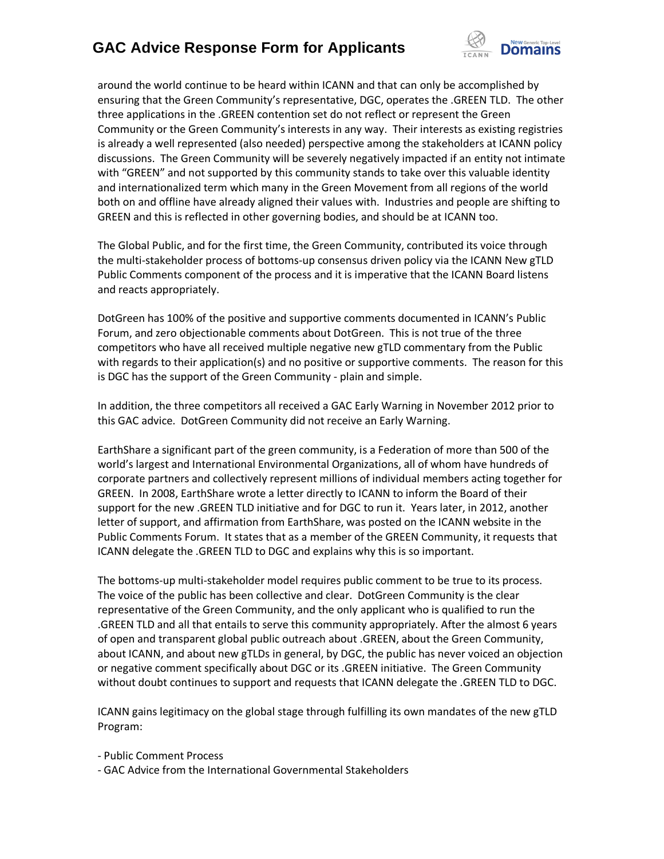

around the world continue to be heard within ICANN and that can only be accomplished by ensuring that the Green Community's representative, DGC, operates the .GREEN TLD. The other three applications in the .GREEN contention set do not reflect or represent the Green Community or the Green Community's interests in any way. Their interests as existing registries is already a well represented (also needed) perspective among the stakeholders at ICANN policy discussions. The Green Community will be severely negatively impacted if an entity not intimate with "GREEN" and not supported by this community stands to take over this valuable identity and internationalized term which many in the Green Movement from all regions of the world both on and offline have already aligned their values with. Industries and people are shifting to GREEN and this is reflected in other governing bodies, and should be at ICANN too.

The Global Public, and for the first time, the Green Community, contributed its voice through the multi-stakeholder process of bottoms-up consensus driven policy via the ICANN New gTLD Public Comments component of the process and it is imperative that the ICANN Board listens and reacts appropriately.

DotGreen has 100% of the positive and supportive comments documented in ICANN's Public Forum, and zero objectionable comments about DotGreen. This is not true of the three competitors who have all received multiple negative new gTLD commentary from the Public with regards to their application(s) and no positive or supportive comments. The reason for this is DGC has the support of the Green Community - plain and simple.

In addition, the three competitors all received a GAC Early Warning in November 2012 prior to this GAC advice. DotGreen Community did not receive an Early Warning.

EarthShare a significant part of the green community, is a Federation of more than 500 of the world's largest and International Environmental Organizations, all of whom have hundreds of corporate partners and collectively represent millions of individual members acting together for GREEN. In 2008, EarthShare wrote a letter directly to ICANN to inform the Board of their support for the new .GREEN TLD initiative and for DGC to run it. Years later, in 2012, another letter of support, and affirmation from EarthShare, was posted on the ICANN website in the Public Comments Forum. It states that as a member of the GREEN Community, it requests that ICANN delegate the .GREEN TLD to DGC and explains why this is so important.

The bottoms-up multi-stakeholder model requires public comment to be true to its process. The voice of the public has been collective and clear. DotGreen Community is the clear representative of the Green Community, and the only applicant who is qualified to run the .GREEN TLD and all that entails to serve this community appropriately. After the almost 6 years of open and transparent global public outreach about .GREEN, about the Green Community, about ICANN, and about new gTLDs in general, by DGC, the public has never voiced an objection or negative comment specifically about DGC or its .GREEN initiative. The Green Community without doubt continues to support and requests that ICANN delegate the .GREEN TLD to DGC.

ICANN gains legitimacy on the global stage through fulfilling its own mandates of the new gTLD Program:

- Public Comment Process
- GAC Advice from the International Governmental Stakeholders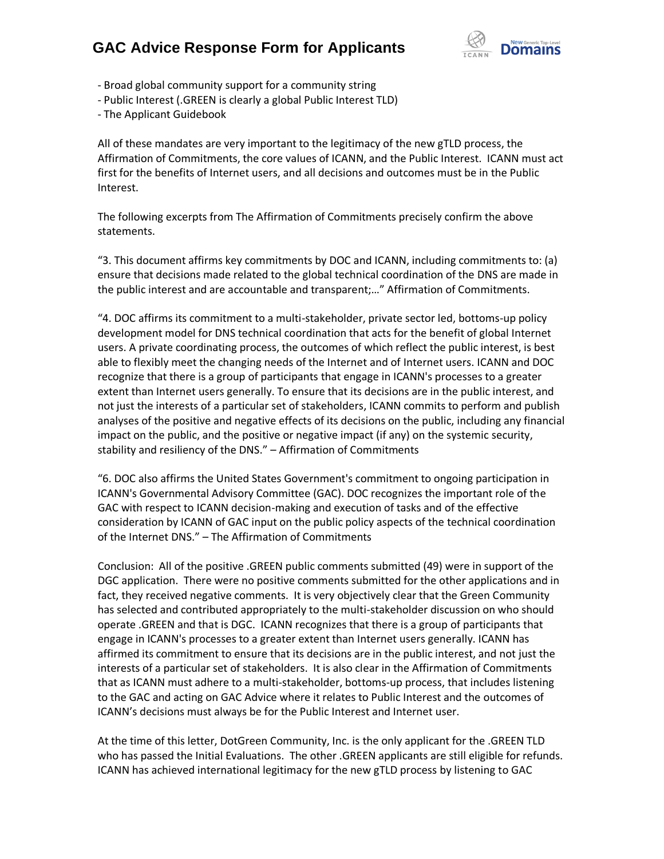

- Broad global community support for a community string
- Public Interest (.GREEN is clearly a global Public Interest TLD)
- The Applicant Guidebook

All of these mandates are very important to the legitimacy of the new gTLD process, the Affirmation of Commitments, the core values of ICANN, and the Public Interest. ICANN must act first for the benefits of Internet users, and all decisions and outcomes must be in the Public Interest.

The following excerpts from The Affirmation of Commitments precisely confirm the above statements.

"3. This document affirms key commitments by DOC and ICANN, including commitments to: (a) ensure that decisions made related to the global technical coordination of the DNS are made in the public interest and are accountable and transparent;…" Affirmation of Commitments.

"4. DOC affirms its commitment to a multi-stakeholder, private sector led, bottoms-up policy development model for DNS technical coordination that acts for the benefit of global Internet users. A private coordinating process, the outcomes of which reflect the public interest, is best able to flexibly meet the changing needs of the Internet and of Internet users. ICANN and DOC recognize that there is a group of participants that engage in ICANN's processes to a greater extent than Internet users generally. To ensure that its decisions are in the public interest, and not just the interests of a particular set of stakeholders, ICANN commits to perform and publish analyses of the positive and negative effects of its decisions on the public, including any financial impact on the public, and the positive or negative impact (if any) on the systemic security, stability and resiliency of the DNS." – Affirmation of Commitments

"6. DOC also affirms the United States Government's commitment to ongoing participation in ICANN's Governmental Advisory Committee (GAC). DOC recognizes the important role of the GAC with respect to ICANN decision-making and execution of tasks and of the effective consideration by ICANN of GAC input on the public policy aspects of the technical coordination of the Internet DNS." – The Affirmation of Commitments

Conclusion: All of the positive .GREEN public comments submitted (49) were in support of the DGC application. There were no positive comments submitted for the other applications and in fact, they received negative comments. It is very objectively clear that the Green Community has selected and contributed appropriately to the multi-stakeholder discussion on who should operate .GREEN and that is DGC. ICANN recognizes that there is a group of participants that engage in ICANN's processes to a greater extent than Internet users generally. ICANN has affirmed its commitment to ensure that its decisions are in the public interest, and not just the interests of a particular set of stakeholders. It is also clear in the Affirmation of Commitments that as ICANN must adhere to a multi-stakeholder, bottoms-up process, that includes listening to the GAC and acting on GAC Advice where it relates to Public Interest and the outcomes of ICANN's decisions must always be for the Public Interest and Internet user.

At the time of this letter, DotGreen Community, Inc. is the only applicant for the .GREEN TLD who has passed the Initial Evaluations. The other .GREEN applicants are still eligible for refunds. ICANN has achieved international legitimacy for the new gTLD process by listening to GAC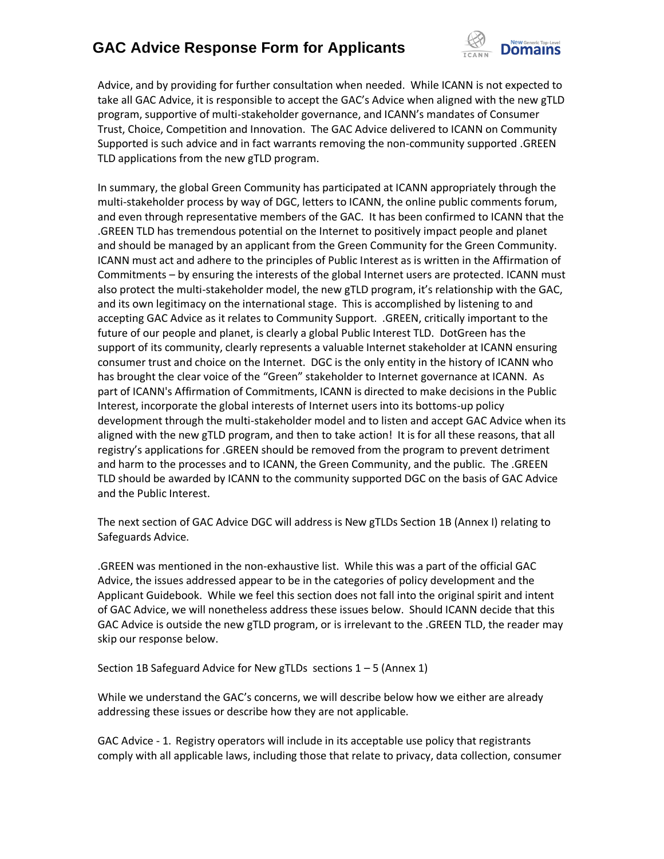

Advice, and by providing for further consultation when needed. While ICANN is not expected to take all GAC Advice, it is responsible to accept the GAC's Advice when aligned with the new gTLD program, supportive of multi-stakeholder governance, and ICANN's mandates of Consumer Trust, Choice, Competition and Innovation. The GAC Advice delivered to ICANN on Community Supported is such advice and in fact warrants removing the non-community supported .GREEN TLD applications from the new gTLD program.

In summary, the global Green Community has participated at ICANN appropriately through the multi-stakeholder process by way of DGC, letters to ICANN, the online public comments forum, and even through representative members of the GAC. It has been confirmed to ICANN that the .GREEN TLD has tremendous potential on the Internet to positively impact people and planet and should be managed by an applicant from the Green Community for the Green Community. ICANN must act and adhere to the principles of Public Interest as is written in the Affirmation of Commitments – by ensuring the interests of the global Internet users are protected. ICANN must also protect the multi-stakeholder model, the new gTLD program, it's relationship with the GAC, and its own legitimacy on the international stage. This is accomplished by listening to and accepting GAC Advice as it relates to Community Support. .GREEN, critically important to the future of our people and planet, is clearly a global Public Interest TLD. DotGreen has the support of its community, clearly represents a valuable Internet stakeholder at ICANN ensuring consumer trust and choice on the Internet. DGC is the only entity in the history of ICANN who has brought the clear voice of the "Green" stakeholder to Internet governance at ICANN. As part of ICANN's Affirmation of Commitments, ICANN is directed to make decisions in the Public Interest, incorporate the global interests of Internet users into its bottoms-up policy development through the multi-stakeholder model and to listen and accept GAC Advice when its aligned with the new gTLD program, and then to take action! It is for all these reasons, that all registry's applications for .GREEN should be removed from the program to prevent detriment and harm to the processes and to ICANN, the Green Community, and the public. The .GREEN TLD should be awarded by ICANN to the community supported DGC on the basis of GAC Advice and the Public Interest.

The next section of GAC Advice DGC will address is New gTLDs Section 1B (Annex I) relating to Safeguards Advice.

.GREEN was mentioned in the non-exhaustive list. While this was a part of the official GAC Advice, the issues addressed appear to be in the categories of policy development and the Applicant Guidebook. While we feel this section does not fall into the original spirit and intent of GAC Advice, we will nonetheless address these issues below. Should ICANN decide that this GAC Advice is outside the new gTLD program, or is irrelevant to the .GREEN TLD, the reader may skip our response below.

Section 1B Safeguard Advice for New gTLDs sections  $1 - 5$  (Annex 1)

While we understand the GAC's concerns, we will describe below how we either are already addressing these issues or describe how they are not applicable.

GAC Advice - 1. Registry operators will include in its acceptable use policy that registrants comply with all applicable laws, including those that relate to privacy, data collection, consumer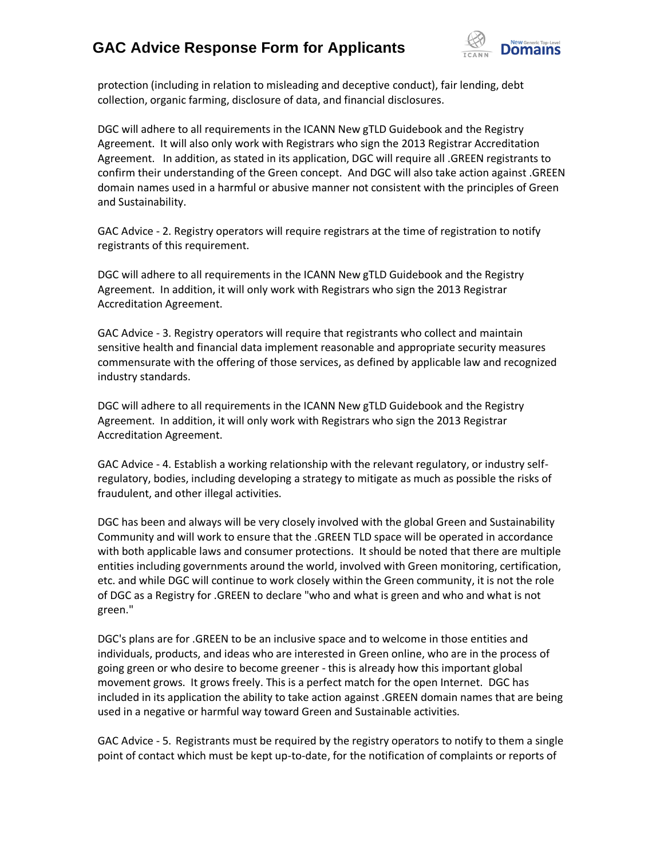

protection (including in relation to misleading and deceptive conduct), fair lending, debt collection, organic farming, disclosure of data, and financial disclosures.

DGC will adhere to all requirements in the ICANN New gTLD Guidebook and the Registry Agreement. It will also only work with Registrars who sign the 2013 Registrar Accreditation Agreement. In addition, as stated in its application, DGC will require all .GREEN registrants to confirm their understanding of the Green concept. And DGC will also take action against .GREEN domain names used in a harmful or abusive manner not consistent with the principles of Green and Sustainability.

GAC Advice - 2. Registry operators will require registrars at the time of registration to notify registrants of this requirement.

DGC will adhere to all requirements in the ICANN New gTLD Guidebook and the Registry Agreement. In addition, it will only work with Registrars who sign the 2013 Registrar Accreditation Agreement.

GAC Advice - 3. Registry operators will require that registrants who collect and maintain sensitive health and financial data implement reasonable and appropriate security measures commensurate with the offering of those services, as defined by applicable law and recognized industry standards.

DGC will adhere to all requirements in the ICANN New gTLD Guidebook and the Registry Agreement. In addition, it will only work with Registrars who sign the 2013 Registrar Accreditation Agreement.

GAC Advice - 4. Establish a working relationship with the relevant regulatory, or industry selfregulatory, bodies, including developing a strategy to mitigate as much as possible the risks of fraudulent, and other illegal activities.

DGC has been and always will be very closely involved with the global Green and Sustainability Community and will work to ensure that the .GREEN TLD space will be operated in accordance with both applicable laws and consumer protections. It should be noted that there are multiple entities including governments around the world, involved with Green monitoring, certification, etc. and while DGC will continue to work closely within the Green community, it is not the role of DGC as a Registry for .GREEN to declare "who and what is green and who and what is not green."

DGC's plans are for .GREEN to be an inclusive space and to welcome in those entities and individuals, products, and ideas who are interested in Green online, who are in the process of going green or who desire to become greener - this is already how this important global movement grows. It grows freely. This is a perfect match for the open Internet. DGC has included in its application the ability to take action against .GREEN domain names that are being used in a negative or harmful way toward Green and Sustainable activities.

GAC Advice - 5. Registrants must be required by the registry operators to notify to them a single point of contact which must be kept up-to-date, for the notification of complaints or reports of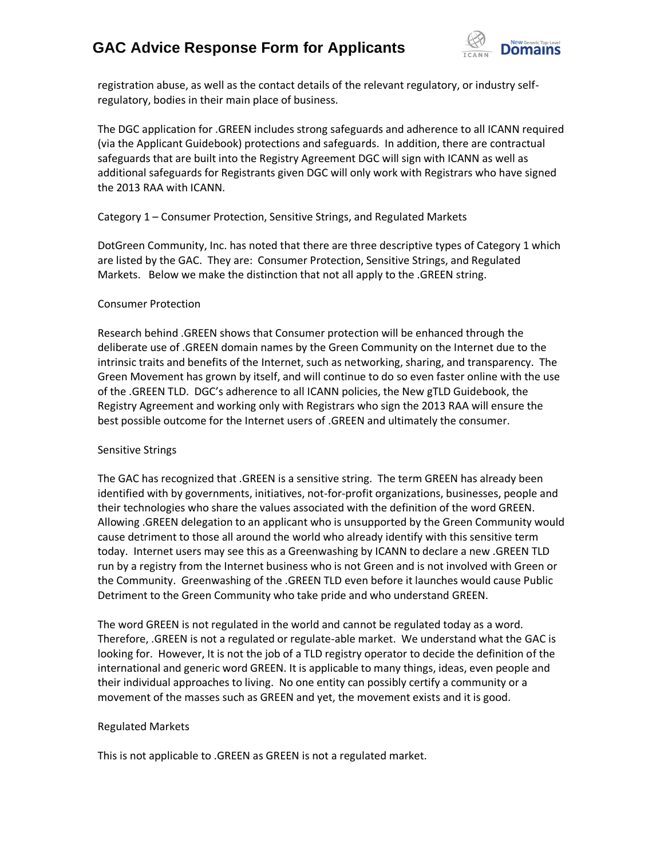

registration abuse, as well as the contact details of the relevant regulatory, or industry selfregulatory, bodies in their main place of business.

The DGC application for .GREEN includes strong safeguards and adherence to all ICANN required (via the Applicant Guidebook) protections and safeguards. In addition, there are contractual safeguards that are built into the Registry Agreement DGC will sign with ICANN as well as additional safeguards for Registrants given DGC will only work with Registrars who have signed the 2013 RAA with ICANN.

### Category 1 – Consumer Protection, Sensitive Strings, and Regulated Markets

DotGreen Community, Inc. has noted that there are three descriptive types of Category 1 which are listed by the GAC. They are: Consumer Protection, Sensitive Strings, and Regulated Markets. Below we make the distinction that not all apply to the .GREEN string.

#### Consumer Protection

Research behind .GREEN shows that Consumer protection will be enhanced through the deliberate use of .GREEN domain names by the Green Community on the Internet due to the intrinsic traits and benefits of the Internet, such as networking, sharing, and transparency. The Green Movement has grown by itself, and will continue to do so even faster online with the use of the .GREEN TLD. DGC's adherence to all ICANN policies, the New gTLD Guidebook, the Registry Agreement and working only with Registrars who sign the 2013 RAA will ensure the best possible outcome for the Internet users of .GREEN and ultimately the consumer.

### Sensitive Strings

The GAC has recognized that .GREEN is a sensitive string. The term GREEN has already been identified with by governments, initiatives, not-for-profit organizations, businesses, people and their technologies who share the values associated with the definition of the word GREEN. Allowing .GREEN delegation to an applicant who is unsupported by the Green Community would cause detriment to those all around the world who already identify with this sensitive term today. Internet users may see this as a Greenwashing by ICANN to declare a new .GREEN TLD run by a registry from the Internet business who is not Green and is not involved with Green or the Community. Greenwashing of the .GREEN TLD even before it launches would cause Public Detriment to the Green Community who take pride and who understand GREEN.

The word GREEN is not regulated in the world and cannot be regulated today as a word. Therefore, .GREEN is not a regulated or regulate-able market. We understand what the GAC is looking for. However, It is not the job of a TLD registry operator to decide the definition of the international and generic word GREEN. It is applicable to many things, ideas, even people and their individual approaches to living. No one entity can possibly certify a community or a movement of the masses such as GREEN and yet, the movement exists and it is good.

### Regulated Markets

This is not applicable to .GREEN as GREEN is not a regulated market.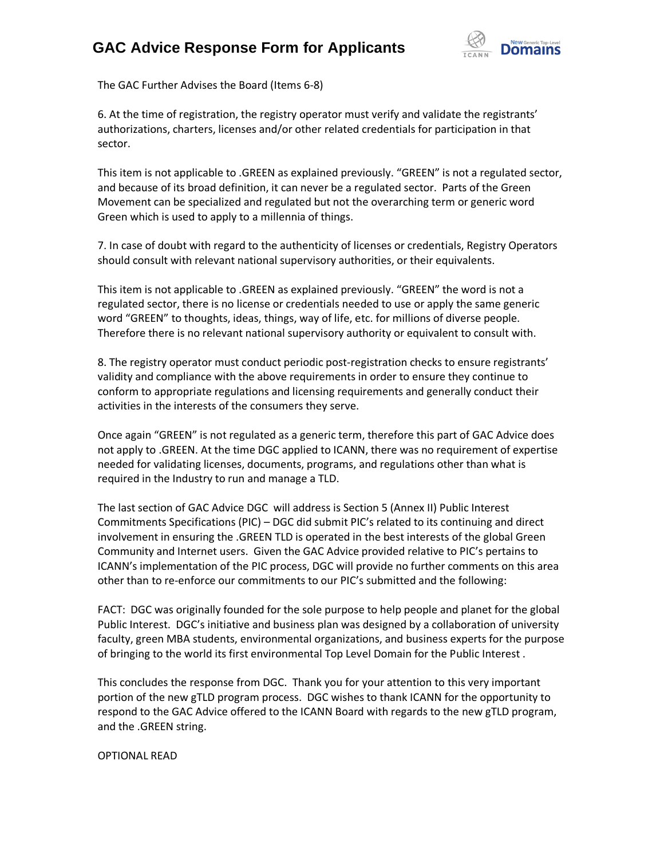

The GAC Further Advises the Board (Items 6-8)

6. At the time of registration, the registry operator must verify and validate the registrants' authorizations, charters, licenses and/or other related credentials for participation in that sector.

This item is not applicable to .GREEN as explained previously. "GREEN" is not a regulated sector, and because of its broad definition, it can never be a regulated sector. Parts of the Green Movement can be specialized and regulated but not the overarching term or generic word Green which is used to apply to a millennia of things.

7. In case of doubt with regard to the authenticity of licenses or credentials, Registry Operators should consult with relevant national supervisory authorities, or their equivalents.

This item is not applicable to .GREEN as explained previously. "GREEN" the word is not a regulated sector, there is no license or credentials needed to use or apply the same generic word "GREEN" to thoughts, ideas, things, way of life, etc. for millions of diverse people. Therefore there is no relevant national supervisory authority or equivalent to consult with.

8. The registry operator must conduct periodic post-registration checks to ensure registrants' validity and compliance with the above requirements in order to ensure they continue to conform to appropriate regulations and licensing requirements and generally conduct their activities in the interests of the consumers they serve.

Once again "GREEN" is not regulated as a generic term, therefore this part of GAC Advice does not apply to .GREEN. At the time DGC applied to ICANN, there was no requirement of expertise needed for validating licenses, documents, programs, and regulations other than what is required in the Industry to run and manage a TLD.

The last section of GAC Advice DGC will address is Section 5 (Annex II) Public Interest Commitments Specifications (PIC) – DGC did submit PIC's related to its continuing and direct involvement in ensuring the .GREEN TLD is operated in the best interests of the global Green Community and Internet users. Given the GAC Advice provided relative to PIC's pertains to ICANN's implementation of the PIC process, DGC will provide no further comments on this area other than to re-enforce our commitments to our PIC's submitted and the following:

FACT: DGC was originally founded for the sole purpose to help people and planet for the global Public Interest. DGC's initiative and business plan was designed by a collaboration of university faculty, green MBA students, environmental organizations, and business experts for the purpose of bringing to the world its first environmental Top Level Domain for the Public Interest .

This concludes the response from DGC. Thank you for your attention to this very important portion of the new gTLD program process. DGC wishes to thank ICANN for the opportunity to respond to the GAC Advice offered to the ICANN Board with regards to the new gTLD program, and the .GREEN string.

OPTIONAL READ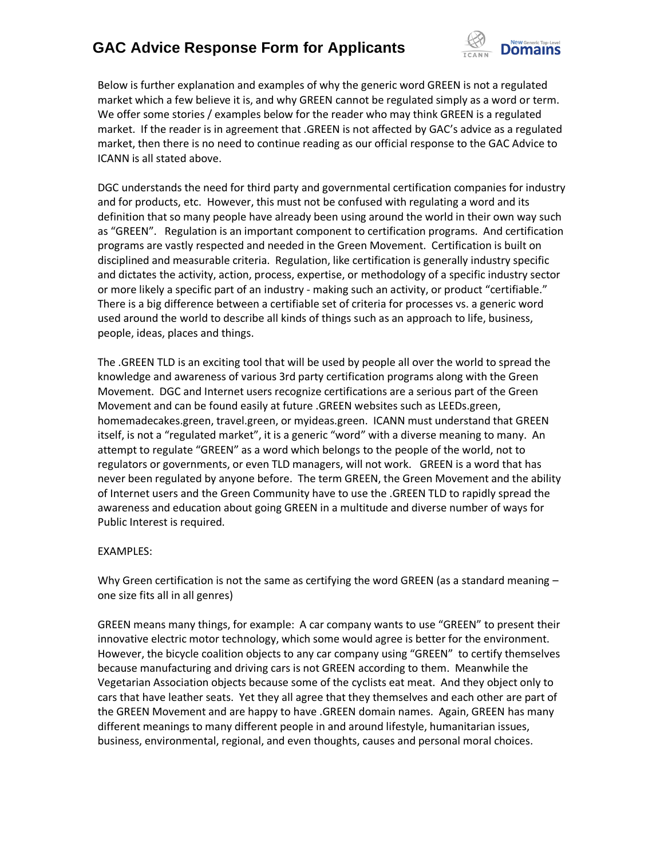

Below is further explanation and examples of why the generic word GREEN is not a regulated market which a few believe it is, and why GREEN cannot be regulated simply as a word or term. We offer some stories / examples below for the reader who may think GREEN is a regulated market. If the reader is in agreement that .GREEN is not affected by GAC's advice as a regulated market, then there is no need to continue reading as our official response to the GAC Advice to ICANN is all stated above.

DGC understands the need for third party and governmental certification companies for industry and for products, etc. However, this must not be confused with regulating a word and its definition that so many people have already been using around the world in their own way such as "GREEN". Regulation is an important component to certification programs. And certification programs are vastly respected and needed in the Green Movement. Certification is built on disciplined and measurable criteria. Regulation, like certification is generally industry specific and dictates the activity, action, process, expertise, or methodology of a specific industry sector or more likely a specific part of an industry - making such an activity, or product "certifiable." There is a big difference between a certifiable set of criteria for processes vs. a generic word used around the world to describe all kinds of things such as an approach to life, business, people, ideas, places and things.

The .GREEN TLD is an exciting tool that will be used by people all over the world to spread the knowledge and awareness of various 3rd party certification programs along with the Green Movement. DGC and Internet users recognize certifications are a serious part of the Green Movement and can be found easily at future .GREEN websites such as LEEDs.green, homemadecakes.green, travel.green, or myideas.green. ICANN must understand that GREEN itself, is not a "regulated market", it is a generic "word" with a diverse meaning to many. An attempt to regulate "GREEN" as a word which belongs to the people of the world, not to regulators or governments, or even TLD managers, will not work. GREEN is a word that has never been regulated by anyone before. The term GREEN, the Green Movement and the ability of Internet users and the Green Community have to use the .GREEN TLD to rapidly spread the awareness and education about going GREEN in a multitude and diverse number of ways for Public Interest is required.

### EXAMPLES:

Why Green certification is not the same as certifying the word GREEN (as a standard meaning – one size fits all in all genres)

GREEN means many things, for example: A car company wants to use "GREEN" to present their innovative electric motor technology, which some would agree is better for the environment. However, the bicycle coalition objects to any car company using "GREEN" to certify themselves because manufacturing and driving cars is not GREEN according to them. Meanwhile the Vegetarian Association objects because some of the cyclists eat meat. And they object only to cars that have leather seats. Yet they all agree that they themselves and each other are part of the GREEN Movement and are happy to have .GREEN domain names. Again, GREEN has many different meanings to many different people in and around lifestyle, humanitarian issues, business, environmental, regional, and even thoughts, causes and personal moral choices.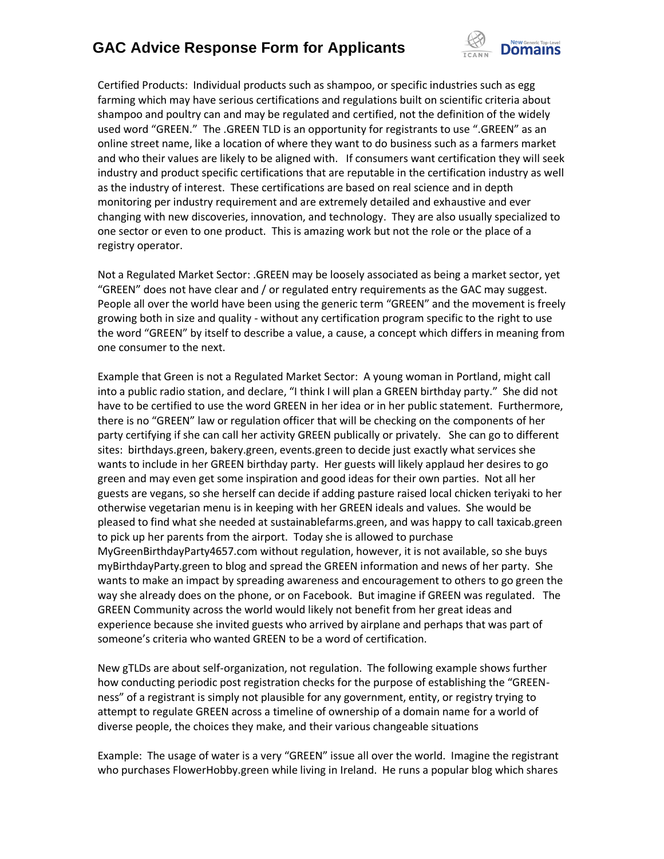

Certified Products: Individual products such as shampoo, or specific industries such as egg farming which may have serious certifications and regulations built on scientific criteria about shampoo and poultry can and may be regulated and certified, not the definition of the widely used word "GREEN." The .GREEN TLD is an opportunity for registrants to use ".GREEN" as an online street name, like a location of where they want to do business such as a farmers market and who their values are likely to be aligned with. If consumers want certification they will seek industry and product specific certifications that are reputable in the certification industry as well as the industry of interest. These certifications are based on real science and in depth monitoring per industry requirement and are extremely detailed and exhaustive and ever changing with new discoveries, innovation, and technology. They are also usually specialized to one sector or even to one product. This is amazing work but not the role or the place of a registry operator.

Not a Regulated Market Sector: .GREEN may be loosely associated as being a market sector, yet "GREEN" does not have clear and / or regulated entry requirements as the GAC may suggest. People all over the world have been using the generic term "GREEN" and the movement is freely growing both in size and quality - without any certification program specific to the right to use the word "GREEN" by itself to describe a value, a cause, a concept which differs in meaning from one consumer to the next.

Example that Green is not a Regulated Market Sector: A young woman in Portland, might call into a public radio station, and declare, "I think I will plan a GREEN birthday party." She did not have to be certified to use the word GREEN in her idea or in her public statement. Furthermore, there is no "GREEN" law or regulation officer that will be checking on the components of her party certifying if she can call her activity GREEN publically or privately. She can go to different sites: birthdays.green, bakery.green, events.green to decide just exactly what services she wants to include in her GREEN birthday party. Her guests will likely applaud her desires to go green and may even get some inspiration and good ideas for their own parties. Not all her guests are vegans, so she herself can decide if adding pasture raised local chicken teriyaki to her otherwise vegetarian menu is in keeping with her GREEN ideals and values. She would be pleased to find what she needed at sustainablefarms.green, and was happy to call taxicab.green to pick up her parents from the airport. Today she is allowed to purchase MyGreenBirthdayParty4657.com without regulation, however, it is not available, so she buys myBirthdayParty.green to blog and spread the GREEN information and news of her party. She wants to make an impact by spreading awareness and encouragement to others to go green the way she already does on the phone, or on Facebook. But imagine if GREEN was regulated. The GREEN Community across the world would likely not benefit from her great ideas and experience because she invited guests who arrived by airplane and perhaps that was part of someone's criteria who wanted GREEN to be a word of certification.

New gTLDs are about self-organization, not regulation. The following example shows further how conducting periodic post registration checks for the purpose of establishing the "GREENness" of a registrant is simply not plausible for any government, entity, or registry trying to attempt to regulate GREEN across a timeline of ownership of a domain name for a world of diverse people, the choices they make, and their various changeable situations

Example: The usage of water is a very "GREEN" issue all over the world. Imagine the registrant who purchases FlowerHobby.green while living in Ireland. He runs a popular blog which shares